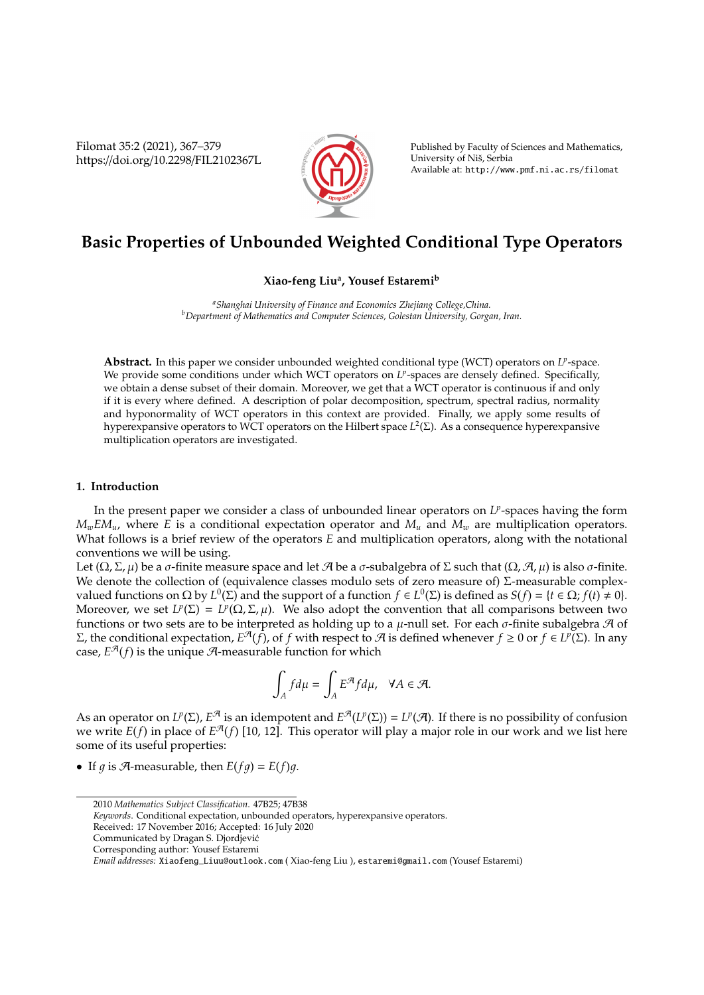Filomat 35:2 (2021), 367–379 https://doi.org/10.2298/FIL2102367L



Published by Faculty of Sciences and Mathematics, University of Niš, Serbia Available at: http://www.pmf.ni.ac.rs/filomat

# **Basic Properties of Unbounded Weighted Conditional Type Operators**

# **Xiao-feng Liu<sup>a</sup> , Yousef Estaremi<sup>b</sup>**

*<sup>a</sup>Shanghai University of Finance and Economics Zhejiang College,China. <sup>b</sup>Department of Mathematics and Computer Sciences, Golestan University, Gorgan, Iran.*

Abstract. In this paper we consider unbounded weighted conditional type (WCT) operators on L<sup>p</sup>-space. We provide some conditions under which WCT operators on L<sup>p</sup>-spaces are densely defined. Specifically, we obtain a dense subset of their domain. Moreover, we get that a WCT operator is continuous if and only if it is every where defined. A description of polar decomposition, spectrum, spectral radius, normality and hyponormality of WCT operators in this context are provided. Finally, we apply some results of hyperexpansive operators to WCT operators on the Hilbert space *L* 2 (Σ). As a consequence hyperexpansive multiplication operators are investigated.

## **1. Introduction**

In the present paper we consider a class of unbounded linear operators on *L<sup>p</sup>*-spaces having the form  $M_wEM_u$ , where *E* is a conditional expectation operator and  $M_u$  and  $M_w$  are multiplication operators. What follows is a brief review of the operators *E* and multiplication operators, along with the notational conventions we will be using.

Let  $(\Omega, \Sigma, \mu)$  be a σ-finite measure space and let A be a σ-subalgebra of  $\Sigma$  such that  $(\Omega, \mathcal{A}, \mu)$  is also σ-finite. We denote the collection of (equivalence classes modulo sets of zero measure of)  $\Sigma$ -measurable complexvalued functions on Ω by  $L^0(Σ)$  and the support of a function  $f ∈ L^0(Σ)$  is defined as  $S(f) = {t ∈ Ω; f(t) ≠ 0}.$ Moreover, we set  $L^p(\Sigma) = L^p(\Omega, \Sigma, \mu)$ . We also adopt the convention that all comparisons between two functions or two sets are to be interpreted as holding up to a  $\mu$ -null set. For each  $\sigma$ -finite subalgebra  $\mathcal A$  of  $Σ$ , the conditional expectation,  $E^{\mathcal{A}}(f)$ , of *f* with respect to  $\mathcal{A}$  is defined whenever  $f ≥ 0$  or  $f ∈ L^p(Σ)$ . In any case,  $E^{\mathcal{A}}(f)$  is the unique  $\mathcal{A}$ -measurable function for which

$$
\int_A f d\mu = \int_A E^{\mathcal{A}} f d\mu, \quad \forall A \in \mathcal{A}.
$$

As an operator on  $L^p(\Sigma)$ ,  $E^{\mathcal{A}}$  is an idempotent and  $E^{\mathcal{A}}(L^p(\Sigma)) = L^p(\mathcal{A})$ . If there is no possibility of confusion we write  $E(f)$  in place of  $E^{\mathcal{A}}(f)$  [10, 12]. This operator will play a major role in our work and we list here some of its useful properties:

• If  $q$  is  $\mathcal{A}$ -measurable, then  $E(fq) = E(f)q$ .

*Keywords*. Conditional expectation, unbounded operators, hyperexpansive operators.

Received: 17 November 2016; Accepted: 16 July 2020

<sup>2010</sup> *Mathematics Subject Classification*. 47B25; 47B38

Communicated by Dragan S. Djordjevic´

Corresponding author: Yousef Estaremi

*Email addresses:* Xiaofeng\_Liuu@outlook.com ( Xiao-feng Liu ), estaremi@gmail.com (Yousef Estaremi)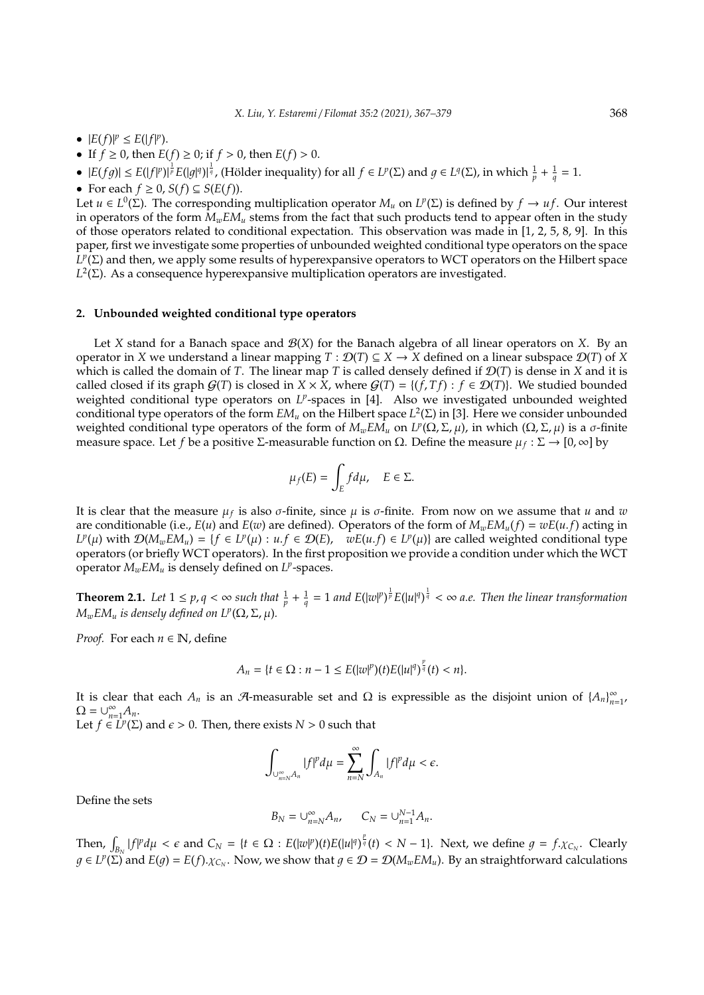- $|E(f)|^p \leq E(|f|^p)$ .
- If  $f \ge 0$ , then  $E(f) \ge 0$ ; if  $f > 0$ , then  $E(f) > 0$ .
- $|E(fg)| \leq E(|f|^p)|^{\frac{1}{p}}E(|g|^q)|^{\frac{1}{q}}$ , (Hölder inequality) for all  $f \in L^p(\Sigma)$  and  $g \in L^q(\Sigma)$ , in which  $\frac{1}{p} + \frac{1}{q} = 1$ .
- For each  $f \ge 0$ ,  $S(f) \subseteq S(E(f))$ .

Let  $u \in L^0(\Sigma)$ . The corresponding multiplication operator  $M_u$  on  $L^p(\Sigma)$  is defined by  $f \to uf$ . Our interest in operators of the form  $M_wEM_u$  stems from the fact that such products tend to appear often in the study of those operators related to conditional expectation. This observation was made in [1, 2, 5, 8, 9]. In this paper, first we investigate some properties of unbounded weighted conditional type operators on the space  $L^p(\Sigma)$  and then, we apply some results of hyperexpansive operators to WCT operators on the Hilbert space  $L^2(Σ)$ . As a consequence hyperexpansive multiplication operators are investigated.

## **2. Unbounded weighted conditional type operators**

Let *X* stand for a Banach space and  $\mathcal{B}(X)$  for the Banach algebra of all linear operators on *X*. By an operator in *X* we understand a linear mapping  $T : \mathcal{D}(T) \subseteq X \to X$  defined on a linear subspace  $\mathcal{D}(T)$  of *X* which is called the domain of *T*. The linear map *T* is called densely defined if  $\mathcal{D}(T)$  is dense in *X* and it is called closed if its graph  $G(T)$  is closed in *X* × *X*, where  $G(T) = \{(f, Tf) : f \in \mathcal{D}(T)\}$ . We studied bounded weighted conditional type operators on L<sup>p</sup>-spaces in [4]. Also we investigated unbounded weighted conditional type operators of the form *EM<sup>u</sup>* on the Hilbert space *L* 2 (Σ) in [3]. Here we consider unbounded weighted conditional type operators of the form of *MwEM<sup>u</sup>* on *L p* (Ω,Σ, µ), in which (Ω,Σ, µ) is a σ-finite measure space. Let *f* be a positive Σ-measurable function on Ω. Define the measure  $\mu_f : \Sigma \to [0, \infty]$  by

$$
\mu_f(E)=\int_E fd\mu,\quad E\in\Sigma.
$$

It is clear that the measure µ*<sup>f</sup>* is also σ-finite, since µ is σ-finite. From now on we assume that *u* and *w* are conditionable (i.e.,  $E(u)$  and  $E(w)$  are defined). Operators of the form of  $M_w E M_u(f) = w E(u.f)$  acting in  $L^p(\mu)$  with  $\mathcal{D}(M_wEM_u) = \{f \in L^p(\mu) : u.f \in \mathcal{D}(E), \quad wE(u.f) \in L^p(\mu)\}\$  are called weighted conditional type operators (or briefly WCT operators). In the first proposition we provide a condition under which the WCT operator *MwEM<sup>u</sup>* is densely defined on *L p* -spaces.

**Theorem 2.1.** Let  $1 \le p, q < \infty$  such that  $\frac{1}{p} + \frac{1}{q} = 1$  and  $E(|w|^p)^{\frac{1}{p}} E(|u|^q)^{\frac{1}{q}} < \infty$  a.e. Then the linear transformation  $M_wEM_u$  *is densely defined on L<sup>p</sup>*( $\Omega$ ,  $\Sigma$ ,  $\mu$ ).

*Proof.* For each  $n \in \mathbb{N}$ , define

$$
A_n = \{t \in \Omega : n - 1 \le E(|w|^p)(t)E(|u|^q)^{\frac{p}{q}}(t) < n\}.
$$

It is clear that each  $A_n$  is an  $\mathcal A$ -measurable set and  $\Omega$  is expressible as the disjoint union of  $\{A_n\}_{n=1}^\infty$  $\frac{\infty}{n=1}$  $\Omega = \bigcup_{n=1}^{\infty}$  $\sum_{n=1}^{\infty} A_n$ .

Let  $f \in L^p(\Sigma)$  and  $\epsilon > 0$ . Then, there exists  $N > 0$  such that

$$
\int_{\cup_{n=N}^{\infty}A_n}|f|^pd\mu=\sum_{n=N}^{\infty}\int_{A_n}|f|^pd\mu<\epsilon.
$$

Define the sets

$$
B_N=\cup_{n=N}^\infty A_n,\qquad C_N=\cup_{n=1}^{N-1} A_n.
$$

Then,  $\int_{B_N} |f|^p d\mu < \epsilon$  and  $C_N = \{t \in \Omega : E(|w|^p)(t)E(|u|^q)^{\frac{p}{q}}(t) < N-1\}$ . Next, we define  $g = f \cdot \chi_{C_N}$ . Clearly  $g \in L^p(\Sigma)$  and  $E(g) = E(f) \cdot \chi_{C_N}$ . Now, we show that  $g \in \mathcal{D} = \mathcal{D}(M_wEM_u)$ . By an straightforward calculations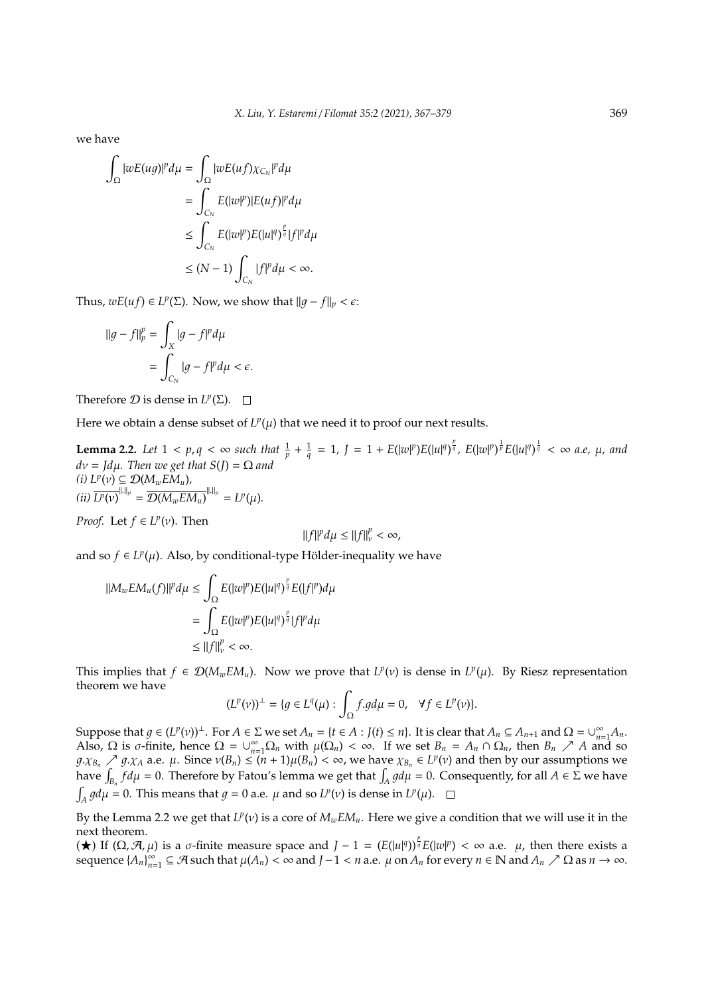we have

$$
\begin{aligned}\n\int_{\Omega} |wE(ug)|^p d\mu &= \int_{\Omega} |wE(uf)\chi_{C_N}|^p d\mu \\
&= \int_{C_N} E(|w|^p) |E(uf)|^p d\mu \\
&\leq \int_{C_N} E(|w|^p) E(|u|^q)^{\frac{p}{q}} |f|^p d\mu \\
&\leq (N-1) \int_{C_N} |f|^p d\mu < \infty.\n\end{aligned}
$$

Thus,  $wE(uf) \in L^p(\Sigma)$ . Now, we show that  $||g - f||_p < \epsilon$ :

$$
\begin{aligned} \|\boldsymbol{g} - \boldsymbol{f}\|_p^p &= \int_X |\boldsymbol{g} - \boldsymbol{f}|^p d\mu \\ &= \int_{C_N} |\boldsymbol{g} - \boldsymbol{f}|^p d\mu < \epsilon. \end{aligned}
$$

Therefore  $D$  is dense in  $L^p(\Sigma)$ .

Here we obtain a dense subset of  $L^p(\mu)$  that we need it to proof our next results.

**Lemma 2.2.** Let  $1 < p, q < \infty$  such that  $\frac{1}{p} + \frac{1}{q} = 1$ ,  $J = 1 + E(|w|^p)E(|u|^q)^{\frac{p}{q}}$ ,  $E(|w|^p)^{\frac{1}{p}}E(|u|^q)^{\frac{1}{q}} < \infty$  a.e,  $\mu$ , and  $dv = Jd\mu$ *. Then we get that*  $S(J) = \Omega$  *and*  $(h)$   $L^p(v) \subseteq \mathcal{D}(M_w E M_u)$ ,  $(iii) \overline{L^p(v)}^{\|.\|_\mu} = \overline{\mathcal{D}(M_wEM_u)}^{\|.\|_\mu} = L^p(\mu).$ 

*Proof.* Let  $f \in L^p(\nu)$ . Then

$$
\|f\|^p d\mu \le \|f\|_{\nu}^p < \infty,
$$

and so  $f \in L^p(\mu)$ . Also, by conditional-type Hölder-inequality we have

$$
\begin{aligned} ||M_w E M_u(f)||^p d\mu &\leq \int_{\Omega} E(|w|^p) E(|u|^q)^{\frac{p}{q}} E(|f|^p) d\mu \\ &= \int_{\Omega} E(|w|^p) E(|u|^q)^{\frac{p}{q}} |f|^p d\mu \\ &\leq ||f||_V^p < \infty. \end{aligned}
$$

This implies that  $f \in \mathcal{D}(M_wEM_u)$ . Now we prove that  $L^p(v)$  is dense in  $L^p(\mu)$ . By Riesz representation theorem we have

$$
(L^p(\nu))^{\perp} = \{ g \in L^q(\mu) : \int_{\Omega} f.g d\mu = 0, \quad \forall f \in L^p(\nu) \}.
$$

Suppose that  $g \in (L^p(v))^{\perp}$ . For  $A \in \Sigma$  we set  $A_n = \{t \in A : J(t) \le n\}$ . It is clear that  $A_n \subseteq A_{n+1}$  and  $\Omega = \bigcup_{n=1}^{\infty} A_n$ . Also, Ω is *σ*-finite, hence  $Ω = ∪_{n=1}^{\infty} Ω_n$  with  $μ(Ω_n) < ∞$ . If we set  $B_n = A_n ∩ Ω_n$ , then  $B_n$  *A A* and so  $1/g.\chi_{B_n} \nearrow g.\chi_A$  a.e.  $\mu$ . Since  $\nu(B_n) \leq (n+1)\mu(B_n) < \infty$ , we have  $\chi_{B_n} \in L^p(\nu)$  and then by our assumptions we have  $\int_{B_n} f d\mu = 0$ . Therefore by Fatou's lemma we get that  $\int_A g d\mu = 0$ . Consequently, for all  $A \in \Sigma$  we have  $\int_A g d\mu = 0$ . This means that  $g = 0$  a.e.  $\mu$  and so  $L^p(\nu)$  is dense in  $L^p(\mu)$ .

By the Lemma 2.2 we get that  $L^p(v)$  is a core of  $M_wEM_u$ . Here we give a condition that we will use it in the next theorem.

(★) If (Ω,  $\mathcal{A}, \mu$ ) is a *σ*-finite measure space and *J* − 1 = ( $E(|u|^q)$ )<sup>*n*</sup><sub>*g*</sub>  $E(|w|^p) < \infty$  a.e. *µ*, then there exists a  $\text{sequence } \{A_n\}_{n=1}^{\infty}$  $\sum_{n=1}^{\infty}$  ⊆ A such that  $\mu(A_n) < \infty$  and  $J-1 < n$  a.e.  $\mu$  on  $A_n$  for every  $n \in \mathbb{N}$  and  $A_n \nearrow \Omega$  as  $n \to \infty$ .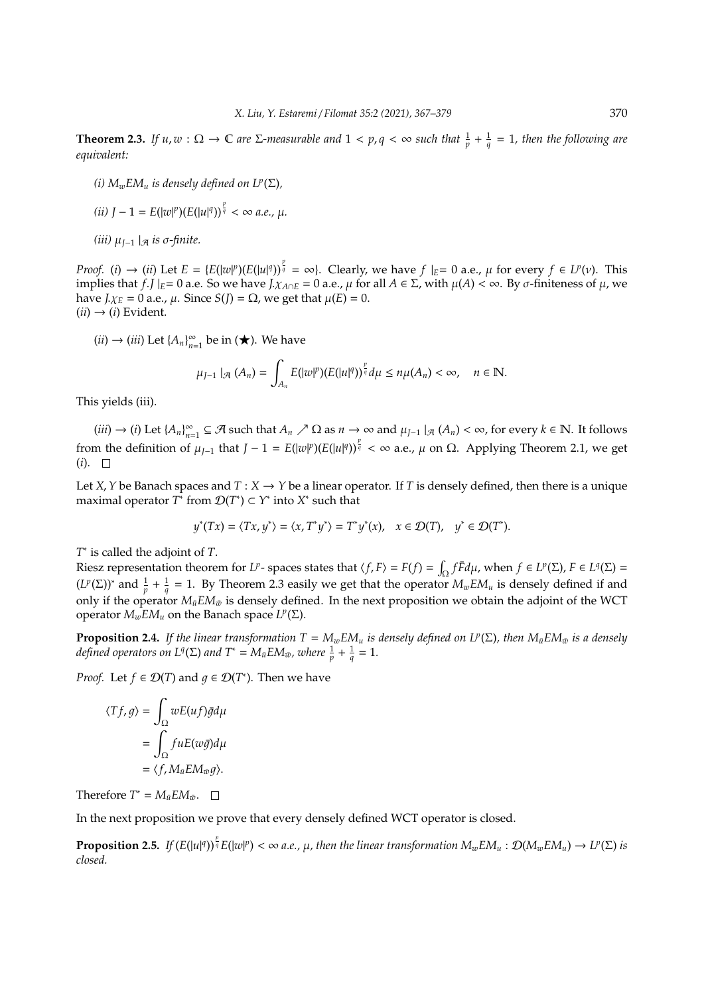**Theorem 2.3.** If  $u, w: \Omega \to \mathbb{C}$  are  $\Sigma$ -measurable and  $1 < p, q < \infty$  such that  $\frac{1}{p} + \frac{1}{q} = 1$ , then the following are *equivalent:*

*(i)*  $M_wEM_u$  *is densely defined on*  $L^p(\Sigma)$ *,* 

(*ii*) 
$$
J - 1 = E(|w|^p)(E(|u|^q))^{\frac{p}{q}} < \infty
$$
 a.e.,  $\mu$ .

*(iii)*  $\mu_{I-1}$   $|_{\mathcal{A}}$  *is* σ-finite.

*Proof.* (*i*)  $\rightarrow$  (*ii*) Let  $E = \{E(|w|^p)(E(|u|^q))^{\frac{p}{q}} = \infty\}$ . Clearly, we have  $f|_E = 0$  a.e.,  $\mu$  for every  $f \in L^p(\nu)$ . This implies that *f*.*J*  $|_E = 0$  a.e. So we have  $J_x A \cap E = 0$  a.e.,  $\mu$  for all  $A \in \Sigma$ , with  $\mu(A) < \infty$ . By  $\sigma$ -finiteness of  $\mu$ , we have *J*. $χ$ *E* = 0 a.e., *μ*. Since *S*(*J*) =  $Ω$ , we get that  $μ$ (*E*) = 0.  $(ii) \rightarrow (i)$  Evident.

 $(ii) \rightarrow (iii)$  Let  $\{A_n\}_{n=1}^{\infty}$  $\sum_{n=1}^{\infty}$  be in ( $\bigstar$ ). We have

$$
\mu_{J-1} |_{\mathcal{A}} (A_n) = \int_{A_n} E(|w|^p) (E(|u|^q))^{\frac{p}{q}} d\mu \leq n\mu(A_n) < \infty, \quad n \in \mathbb{N}.
$$

This yields (iii).

 $(iii) \rightarrow (i)$  Let  $\{A_n\}_{n=1}^{\infty}$  $P_{n=1}^{\infty}$  ⊆ A such that  $A_n \nearrow \Omega$  as  $n \to \infty$  and  $\mu_{J-1} |_{\mathcal{A}} (A_n) < \infty$ , for every  $k \in \mathbb{N}$ . It follows from the definition of  $\mu_{J-1}$  that  $J-1 = E(|w|^p)(E(|u|^q))^{\frac{p}{q}} < \infty$  a.e.,  $\mu$  on  $\Omega$ . Applying Theorem 2.1, we get  $(i). \square$ 

Let *X*, *Y* be Banach spaces and  $T : X \to Y$  be a linear operator. If *T* is densely defined, then there is a unique maximal operator  $T^*$  from  $\mathcal{D}(T^*) \subset Y^*$  into  $X^*$  such that

$$
y^*(Tx) = \langle Tx, y^* \rangle = \langle x, T^*y^* \rangle = T^*y^*(x), \quad x \in \mathcal{D}(T), \quad y^* \in \mathcal{D}(T^*).
$$

*T* ∗ is called the adjoint of *T*.

Riesz representation theorem for *L<sup>p</sup>*-spaces states that  $\langle f, F \rangle = F(f) = \int_{\Omega} f \overline{F} d\mu$ , when  $f \in L^p(\Sigma)$ ,  $F \in L^q(\Sigma)$  $(L^p(\Sigma))^*$  and  $\frac{1}{p} + \frac{1}{q} = 1$ . By Theorem 2.3 easily we get that the operator  $M_wEM_u$  is densely defined if and only if the operator  $M_{\bar{u}}EM_{\bar{w}}$  is densely defined. In the next proposition we obtain the adjoint of the WCT operator  $M_wEM_u$  on the Banach space  $L^p(\Sigma)$ .

**Proposition 2.4.** If the linear transformation  $T = M_w E M_u$  is densely defined on  $L^p(\Sigma)$ , then  $M_{\bar{u}} E M_{\bar{w}}$  is a densely *defined operators on*  $L^q(\Sigma)$  *and*  $T^* = M_{\bar{u}}EM_{\bar{w}}$ *, where*  $\frac{1}{p} + \frac{1}{q} = 1$ *.* 

*Proof.* Let  $f \in \mathcal{D}(T)$  and  $g \in \mathcal{D}(T^*)$ . Then we have

$$
\langle Tf, g \rangle = \int_{\Omega} wE(uf) \bar{g} d\mu
$$

$$
= \int_{\Omega} fuE(w\bar{g}) d\mu
$$

$$
= \langle f, M_{\bar{u}} E M_{\bar{w}} g \rangle.
$$

Therefore  $T^* = M_{\bar{u}} E M_{\bar{w}}$ .

In the next proposition we prove that every densely defined WCT operator is closed.

**Proposition 2.5.** If  $(E(|u|^q))^{\frac{p}{q}}E(|w|^p)<\infty$  a.e.,  $\mu$ , then the linear transformation  $M_wEM_u:\mathcal{D}(M_wEM_u)\to L^p(\Sigma)$  is *closed.*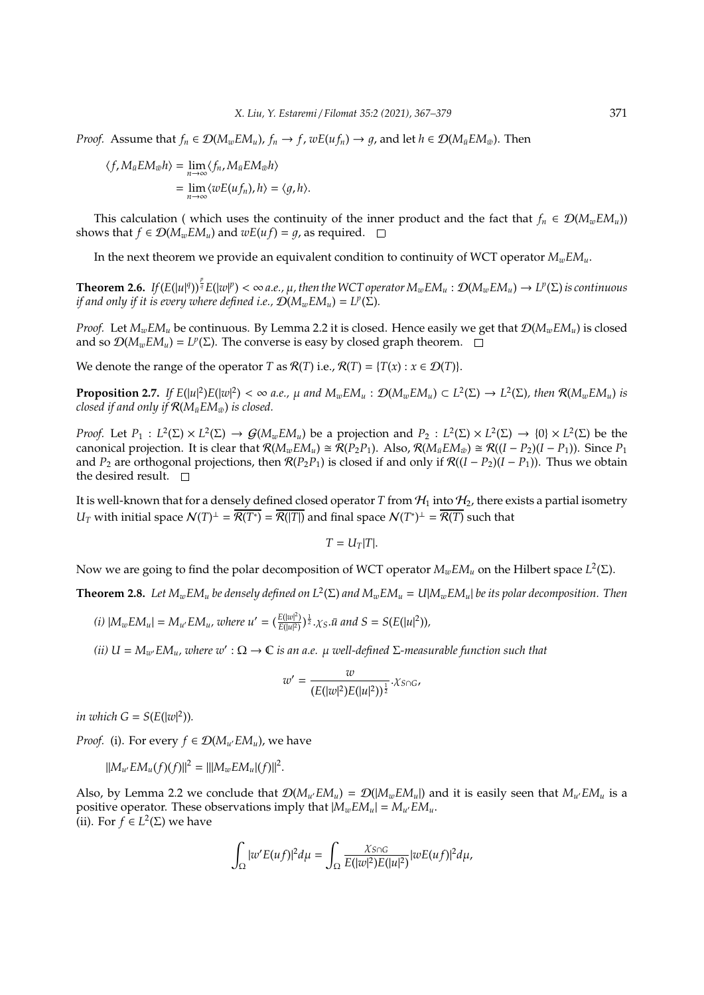*Proof.* Assume that  $f_n \in \mathcal{D}(M_wEM_u)$ ,  $f_n \to f$ ,  $wE(u f_n) \to q$ , and let  $h \in \mathcal{D}(M_{\bar{u}}EM_{\bar{w}})$ . Then

$$
\langle f, M_{\bar{u}}EM_{\bar{w}}h \rangle = \lim_{n \to \infty} \langle f_n, M_{\bar{u}}EM_{\bar{w}}h \rangle
$$
  
= 
$$
\lim_{n \to \infty} \langle wE(u f_n), h \rangle = \langle g, h \rangle.
$$

This calculation ( which uses the continuity of the inner product and the fact that  $f_n \in \mathcal{D}(M_wEM_u)$ ) shows that  $f \in \mathcal{D}(M_wEM_u)$  and  $wE(u f) = q$ , as required.  $\square$ 

In the next theorem we provide an equivalent condition to continuity of WCT operator  $M_wEM_u$ .

**Theorem 2.6.** If  $(E(|u|^q))^{\frac{p}{q}}E(|w|^p)<\infty$  a.e.,  $\mu$ , then the WCT operator  $M_wEM_u:\mathcal{D}(M_wEM_u)\to L^p(\Sigma)$  is continuous *if and only if it is every where defined i.e.,*  $\mathcal{D}(M_wEM_u) = L^p(\Sigma)$ *.* 

*Proof.* Let  $M_wEM_u$  be continuous. By Lemma 2.2 it is closed. Hence easily we get that  $\mathcal{D}(M_wEM_u)$  is closed and so  $\mathcal{D}(M_wEM_u) = L^p(\Sigma)$ . The converse is easy by closed graph theorem.

We denote the range of the operator *T* as  $\mathcal{R}(T)$  i.e.,  $\mathcal{R}(T) = \{T(x) : x \in \mathcal{D}(T)\}.$ 

**Proposition 2.7.** If  $E(|u|^2)E(|w|^2) < \infty$  a.e.,  $\mu$  and  $M_wEM_u$  :  $\mathcal{D}(M_wEM_u) \subset L^2(\Sigma) \to L^2(\Sigma)$ , then  $\mathcal{R}(M_wEM_u)$  is *closed if and only if*  $\mathcal{R}(M_{\bar{u}}EM_{\bar{w}})$  *is closed.* 

*Proof.* Let  $P_1: L^2(\Sigma) \times L^2(\Sigma) \to \mathcal{G}(M_wEM_u)$  be a projection and  $P_2: L^2(\Sigma) \times L^2(\Sigma) \to \{0\} \times L^2(\Sigma)$  be the canonical projection. It is clear that  $\mathcal{R}(M_wEM_u) \cong \mathcal{R}(P_2P_1)$ . Also,  $\mathcal{R}(M_{\bar{u}}EM_{\bar{w}}) \cong \mathcal{R}((I - P_2)(I - P_1))$ . Since  $P_1$ and  $P_2$  are orthogonal projections, then  $\mathcal{R}(P_2P_1)$  is closed if and only if  $\mathcal{R}((I - P_2)(I - P_1))$ . Thus we obtain the desired result.  $\square$ 

It is well-known that for a densely defined closed operator *T* from  $H_1$  into  $H_2$ , there exists a partial isometry *U*<sub>*T*</sub> with initial space  $N(T)^{\perp} = \overline{\mathcal{R}(T^*)} = \overline{\mathcal{R}(|T|)}$  and final space  $N(T^*)^{\perp} = \overline{\mathcal{R}(T)}$  such that

$$
T=U_T|T|.
$$

Now we are going to find the polar decomposition of WCT operator  $M_wEM_u$  on the Hilbert space  $L^2(\Sigma)$ .

**Theorem 2.8.** Let  $M_wEM_u$  be densely defined on  $L^2(\Sigma)$  and  $M_wEM_u = U|M_wEM_u|$  be its polar decomposition. Then

(i) 
$$
|M_wEM_u| = M_{u'}EM_u
$$
, where  $u' = (\frac{E(|w|^2)}{E(|u|^2)})^{\frac{1}{2}}$ . $\chi_S$ . $\bar{u}$  and  $S = S(E(|u|^2))$ ,

 $(iii) U = M_{w'}EM_u$ , where  $w' : \Omega \to \mathbb{C}$  *is an a.e.*  $\mu$  *well-defined*  $\Sigma$ -measurable function such that

$$
w' = \frac{w}{(E(|w|^2)E(|u|^2))^{\frac{1}{2}}} \cdot X \text{snc}
$$

*in which*  $G = S(E(|w|^2))$ *.* 

*Proof.* (i). For every  $f \in \mathcal{D}(M_{\mathcal{U}}/EM_{\mathcal{U}})$ , we have

$$
||M_{u'}EM_u(f)(f)||^2 = |||M_wEM_u|(f)||^2.
$$

Also, by Lemma 2.2 we conclude that  $\mathcal{D}(M_{u'}EM_u) = \mathcal{D}(M_{w}EM_u)$  and it is easily seen that  $M_{u'}EM_u$  is a positive operator. These observations imply that  $|M_w E M_u| = M_{u'} E M_u$ . (ii). For *f* ∈ *L*<sup>2</sup>(Σ) we have

$$
\int_{\Omega} |w'E(uf)|^2 d\mu = \int_{\Omega} \frac{\chi_{S \cap G}}{E(|w|^2)E(|u|^2)} |wE(uf)|^2 d\mu,
$$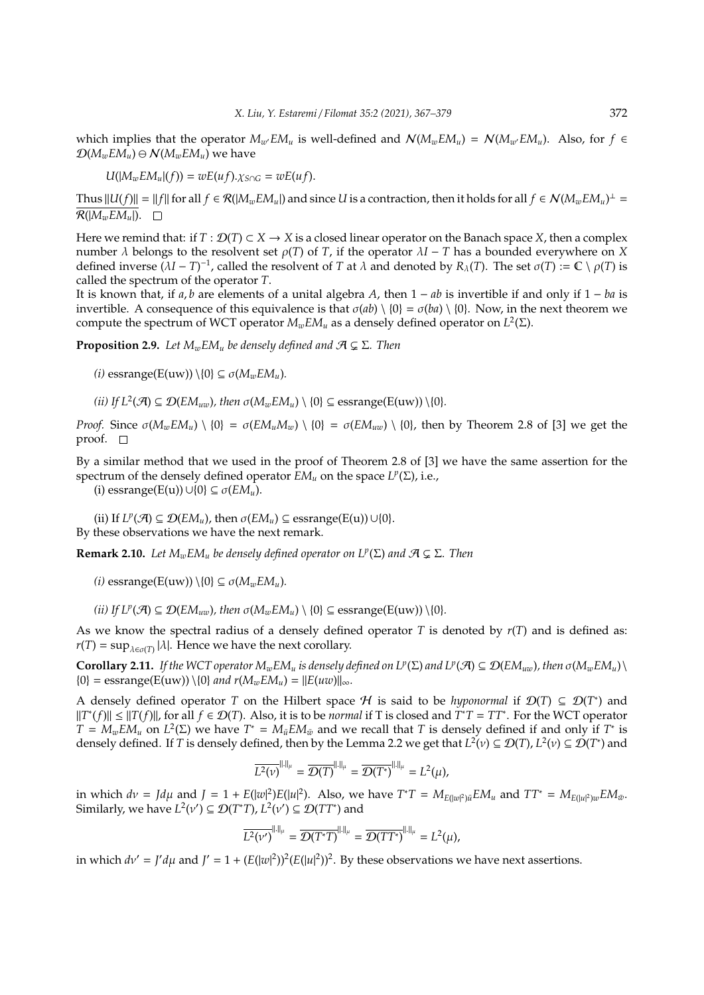which implies that the operator  $M_{w}E M_{u}$  is well-defined and  $\mathcal{N}(M_{w}E M_{u}) = \mathcal{N}(M_{w}E M_{u})$ . Also, for  $f \in$  $\mathcal{D}(M_wEM_u) \ominus \mathcal{N}(M_wEM_u)$  we have

$$
U(|M_wEM_u|(f))=wE(uf).\chi_{S\cap G}=wE(uf).
$$

Thus  $||U(f)|| = ||f||$  for all  $f \in \mathcal{R}(|M_wEM_u|)$  and since *U* is a contraction, then it holds for all  $f \in \mathcal{N}(M_wEM_u)^{\perp}$  $\overline{\mathcal{R}(|M_{w}EM_{u}|)}$ .  $\Box$ 

Here we remind that: if  $T : \mathcal{D}(T) \subset X \to X$  is a closed linear operator on the Banach space X, then a complex number  $\lambda$  belongs to the resolvent set  $\rho(T)$  of *T*, if the operator  $\lambda I - T$  has a bounded everywhere on *X* defined inverse  $(\lambda I - T)^{-1}$ , called the resolvent of *T* at  $\lambda$  and denoted by  $R_\lambda(T)$ . The set  $\sigma(T) := \mathbb{C} \setminus \rho(T)$  is called the spectrum of the operator *T*.

It is known that, if *a*, *b* are elements of a unital algebra *A*, then 1 − *ab* is invertible if and only if 1 − *ba* is invertible. A consequence of this equivalence is that  $\sigma(ab) \setminus \{0\} = \sigma(ba) \setminus \{0\}$ . Now, in the next theorem we compute the spectrum of WCT operator *MwEM<sup>u</sup>* as a densely defined operator on *L* 2 (Σ).

**Proposition 2.9.** *Let*  $M_wEM_u$  *be densely defined and*  $\mathcal{A} \subsetneq \Sigma$ *. Then* 

 $(i)$  essrange( $E(uw)$ )  $\{0\} \subseteq \sigma(M_wEM_u)$ .

(*ii*) If  $L^2(\mathcal{A}) \subseteq \mathcal{D}(EM_{uw})$ , then  $\sigma(M_wEM_u) \setminus \{0\} \subseteq \text{essrange}(E(uw)) \setminus \{0\}.$ 

*Proof.* Since  $\sigma(M_wEM_u) \setminus \{0\} = \sigma(EM_uM_w) \setminus \{0\} = \sigma(EM_{uw}) \setminus \{0\}$ , then by Theorem 2.8 of [3] we get the proof.  $\square$ 

By a similar method that we used in the proof of Theorem 2.8 of [3] we have the same assertion for the spectrum of the densely defined operator  $EM_u$  on the space  $L^p(\Sigma)$ , i.e.,

(i) essrange(E(u))∪{0} ⊆ σ(*EMu*).

(ii) If  $L^p(\mathcal{A}) \subseteq \mathcal{D}(EM_u)$ , then  $\sigma(EM_u) \subseteq \text{essrange}(E(u)) \cup \{0\}.$ By these observations we have the next remark.

**Remark 2.10.** *Let*  $M_wEM_u$  *be densely defined operator on*  $L^p(\Sigma)$  *and*  $\mathcal{A} \subsetneq \Sigma$ *. Then* 

 $(i)$  essrange( $E(uw)$ )  $\{0\} \subseteq \sigma(M_wEM_u)$ .

*(ii) If*  $L^p(\mathcal{A}) \subseteq \mathcal{D}(EM_{uw})$ *, then*  $\sigma(M_wEM_u) \setminus \{0\} \subseteq \text{essrange}(E(uw)) \setminus \{0\}$ *.* 

As we know the spectral radius of a densely defined operator *T* is denoted by *r*(*T*) and is defined as:  $r(T) = \sup_{\lambda \in \sigma(T)} |\lambda|$ . Hence we have the next corollary.

 $\text{Corollary 2.11.}$  *If the WCT operator*  $M_wEM_u$  *is densely defined on*  $L^p(\Sigma)$  and  $L^p(\mathcal{A}) \subseteq \mathcal{D}(EM_{uw})$ *, then*  $\sigma(M_wEM_u)\setminus\mathcal{D}(EM_u)$  $\{0\}$  = essrange(E(uw)) \ $\{0\}$  *and r*( $M_wEM_u$ ) = || $E(uw)$ ||<sub>∞</sub>.

A densely defined operator *T* on the Hilbert space *H* is said to be *hyponormal* if  $\mathcal{D}(T) \subseteq \mathcal{D}(T^*)$  and  $||T^*(f)|| \le ||T(f)||$ , for all  $f \in \mathcal{D}(T)$ . Also, it is to be *normal* if T is closed and  $T^*T = TT^*$ . For the WCT operator  $T = M_w E M_u$  on  $L^2(\Sigma)$  we have  $T^* = M_{\bar{u}} E M_{\bar{w}}$  and we recall that *T* is densely defined if and only if  $T^*$  is densely defined. If *T* is densely defined, then by the Lemma 2.2 we get that  $L^2(v) \subseteq \mathcal{D}(T)$ ,  $L^2(v) \subseteq \mathcal{D}(T^*)$  and

$$
\overline{L^2(\nu)}^{\|.\|_\mu} = \overline{\mathcal{D}(T)}^{\|.\|_\mu} = \overline{\mathcal{D}(T^*)}^{\|.\|_\mu} = L^2(\mu),
$$

in which  $dv = Jd\mu$  and  $J = 1 + E(|w|^2)E(|u|^2)$ . Also, we have  $T^*T = M_{E(|w|^2)\bar{u}}EM_u$  and  $TT^* = M_{E(|u|^2)w}EM_{\bar{w}}$ . Similarly, we have  $L^2(v') \subseteq \mathcal{D}(T^*T)$ ,  $L^2(v') \subseteq \mathcal{D}(TT^*)$  and

$$
\overline{L^2(\nu')}^{\|.\|_\mu} = \overline{\mathcal{D}(T^*T)}^{\|.\|_\mu} = \overline{\mathcal{D}(TT^*)}^{\|.\|_\mu} = L^2(\mu),
$$

in which  $dv' = J'd\mu$  and  $J' = 1 + (E(|w|^2))^2(E(|u|^2))^2$ . By these observations we have next assertions.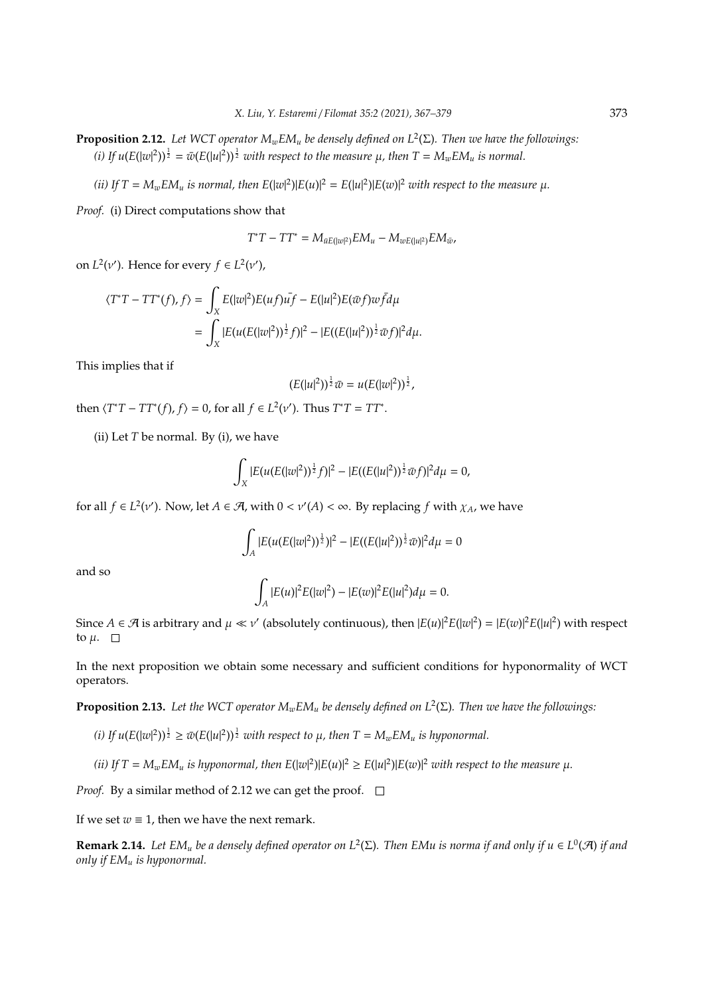**Proposition 2.12.** *Let WCT operator MwEM<sup>u</sup> be densely defined on L*<sup>2</sup> (Σ)*. Then we have the followings:* (*i*) If  $u(E(|w|^2))^{\frac{1}{2}} = \bar{w}(E(|u|^2))^{\frac{1}{2}}$  with respect to the measure  $\mu$ , then  $T = M_wEM_u$  is normal.

(*ii*) If  $T = M_w E M_u$  *is normal, then*  $E(|w|^2)|E(u)|^2 = E(|u|^2)|E(w)|^2$  *with respect to the measure*  $\mu$ *.* 

*Proof.* (i) Direct computations show that

$$
T^*T - TT^* = M_{\bar{u}E(|w|^2)}EM_u - M_{wE(|u|^2)}EM_{\bar{w}},
$$

on  $L^2(v')$ . Hence for every  $f \in L^2(v')$ ,

$$
\langle T^*T - TT^*(f), f \rangle = \int_X E(|w|^2) E(uf) u \overline{f} - E(|u|^2) E(\overline{w}f) w \overline{f} d\mu
$$
  
= 
$$
\int_X |E(u(E(|w|^2))^{\frac{1}{2}} f)|^2 - |E((E(|u|^2))^{\frac{1}{2}} \overline{w}f)|^2 d\mu.
$$

This implies that if

$$
(E(|u|^2))^{\frac{1}{2}}\bar{w}=u(E(|w|^2))^{\frac{1}{2}},
$$

then  $\langle T^*T - TT^*(f), f \rangle = 0$ , for all  $f \in L^2(\nu')$ . Thus  $T^*T = TT^*$ .

(ii) Let *T* be normal. By (i), we have

$$
\int_X |E(u(E(|w|^2))^{\frac{1}{2}}f)|^2 - |E((E(|u|^2))^{\frac{1}{2}}\bar{w}f)|^2 d\mu = 0,
$$

for all  $f \in L^2(v')$ . Now, let  $A \in \mathcal{A}$ , with  $0 < v'(A) < \infty$ . By replacing  $f$  with  $\chi_A$ , we have

$$
\int_{A} |E(u(E(|w|^2))^{\frac{1}{2}})|^2 - |E((E(|u|^2))^{\frac{1}{2}}\bar{w})|^2 d\mu = 0
$$

and so

$$
\int_A |E(u)|^2 E(|w|^2) - |E(w)|^2 E(|u|^2) d\mu = 0.
$$

Since  $A \in \mathcal{A}$  is arbitrary and  $\mu \ll \nu'$  (absolutely continuous), then  $|E(u)|^2 E(|w|^2) = |E(w)|^2 E(|u|^2)$  with respect to  $\mu$ .  $\Box$ 

In the next proposition we obtain some necessary and sufficient conditions for hyponormality of WCT operators.

**Proposition 2.13.** *Let the WCT operator MwEM<sup>u</sup> be densely defined on L*<sup>2</sup> (Σ)*. Then we have the followings:*

- (*i*) If  $u(E(|w|^2))^{\frac{1}{2}} \geq \bar{w}(E(|u|^2))^{\frac{1}{2}}$  with respect to  $\mu$ , then  $T = M_wEM_u$  is hyponormal.
- (*ii*) If  $T = M_w E M_u$  *is hyponormal, then*  $E(|w|^2)|E(u)|^2 \ge E(|u|^2)|E(w)|^2$  *with respect to the measure*  $\mu$ *.*

*Proof.* By a similar method of 2.12 we can get the proof.  $\Box$ 

If we set  $w \equiv 1$ , then we have the next remark.

**Remark 2.14.** Let EM<sub>u</sub> be a densely defined operator on  $L^2(\Sigma)$ . Then EMu is norma if and only if  $u \in L^0(\mathcal{A})$  if and *only if EM<sup>u</sup> is hyponormal.*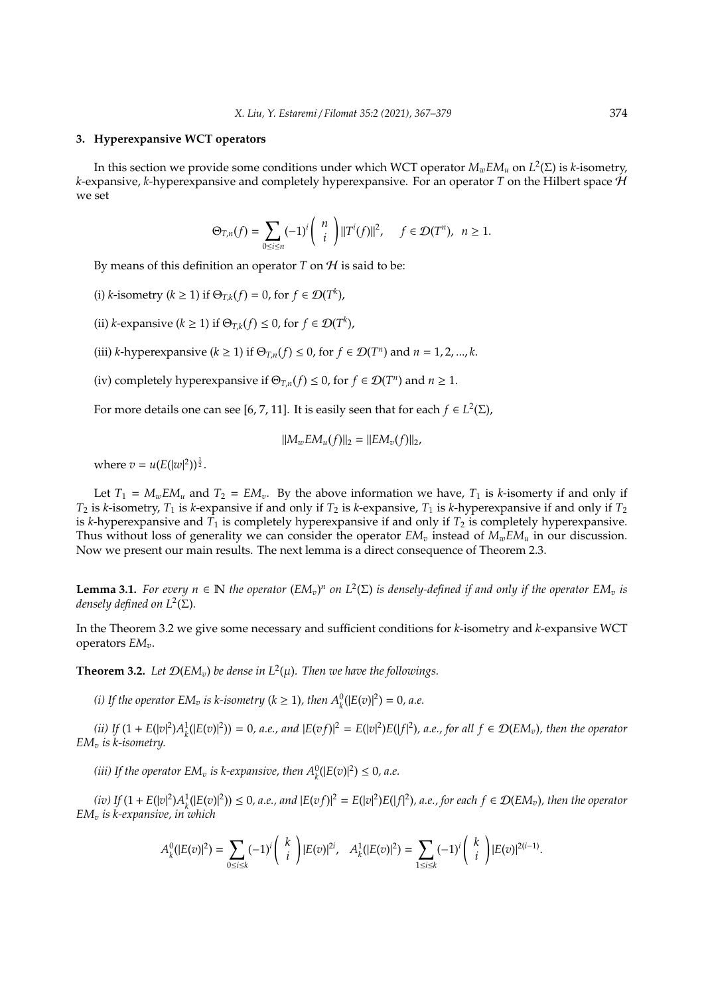### **3. Hyperexpansive WCT operators**

In this section we provide some conditions under which WCT operator *MwEM<sup>u</sup>* on *L* 2 (Σ) is *k*-isometry, *k*-expansive, *k*-hyperexpansive and completely hyperexpansive. For an operator *T* on the Hilbert space H we set

$$
\Theta_{T,n}(f) = \sum_{0 \le i \le n} (-1)^i {n \choose i} ||T^i(f)||^2, \quad f \in \mathcal{D}(T^n), \quad n \ge 1.
$$

By means of this definition an operator  $T$  on  $H$  is said to be:

- (i) *k*-isometry ( $k \ge 1$ ) if  $\Theta_{T,k}(f) = 0$ , for  $f \in \mathcal{D}(T^k)$ ,
- (ii) *k*-expansive ( $k \ge 1$ ) if  $\Theta_{T,k}(f) \le 0$ , for  $f \in \mathcal{D}(T^k)$ ,
- (iii) *k*-hyperexpansive ( $k \ge 1$ ) if  $\Theta_{T,n}(f) \le 0$ , for  $f \in \mathcal{D}(T^n)$  and  $n = 1, 2, ..., k$ .
- (iv) completely hyperexpansive if  $\Theta_{T,n}(f) \leq 0$ , for  $f \in \mathcal{D}(T^n)$  and  $n \geq 1$ .

For more details one can see [6, 7, 11]. It is easily seen that for each  $f \in L^2(\Sigma)$ ,

$$
||M_wEM_u(f)||_2 = ||EM_v(f)||_2,
$$

where  $v = u(E(|w|^2))^{\frac{1}{2}}$ .

Let  $T_1 = M_w E M_u$  and  $T_2 = E M_v$ . By the above information we have,  $T_1$  is *k*-isomerty if and only if  $T_2$  is *k*-isometry,  $T_1$  is *k*-expansive if and only if  $T_2$  is *k*-expansive,  $T_1$  is *k*-hyperexpansive if and only if  $T_2$ is *k*-hyperexpansive and  $T_1$  is completely hyperexpansive if and only if  $T_2$  is completely hyperexpansive. Thus without loss of generality we can consider the operator  $EM_v$  instead of  $M_wEM_u$  in our discussion. Now we present our main results. The next lemma is a direct consequence of Theorem 2.3.

**Lemma 3.1.** For every  $n \in \mathbb{N}$  the operator  $(EM_v)^n$  on  $L^2(\Sigma)$  is densely-defined if and only if the operator  $EM_v$  is *densely defined on L*<sup>2</sup> (Σ)*.*

In the Theorem 3.2 we give some necessary and sufficient conditions for *k*-isometry and *k*-expansive WCT operators *EMv*.

**Theorem 3.2.** Let  $\mathcal{D}(EM_v)$  be dense in  $L^2(\mu)$ . Then we have the followings.

*(i)* If the operator  $EM_v$  is k-isometry ( $k \ge 1$ ), then  $A_k^0(|E(v)|^2) = 0$ , a.e.

(ii) If  $(1 + E(|v|^2)A_k^1(|E(v)|^2)) = 0$ , a.e., and  $|E(vf)|^2 = E(|v|^2)E(|f|^2)$ , a.e., for all  $f \in \mathcal{D}(EM_v)$ , then the operator *EM<sup>v</sup> is k-isometry.*

*(iii)* If the operator  $EM_v$  *is k-expansive, then*  $A_k^0(|E(v)|^2) \leq 0$ *, a.e.* 

(iv) If  $(1 + E(|v|^2)A_k^1(|E(v)|^2)) \le 0$ , a.e., and  $|E(vf)|^2 = E(|v|^2)E(|f|^2)$ , a.e., for each  $f \in \mathcal{D}(EM_v)$ , then the operator *EM<sup>v</sup> is k-expansive, in which*

$$
A_k^0(|E(v)|^2) = \sum_{0 \le i \le k} (-1)^i {k \choose i} |E(v)|^{2i}, \quad A_k^1(|E(v)|^2) = \sum_{1 \le i \le k} (-1)^i {k \choose i} |E(v)|^{2(i-1)}.
$$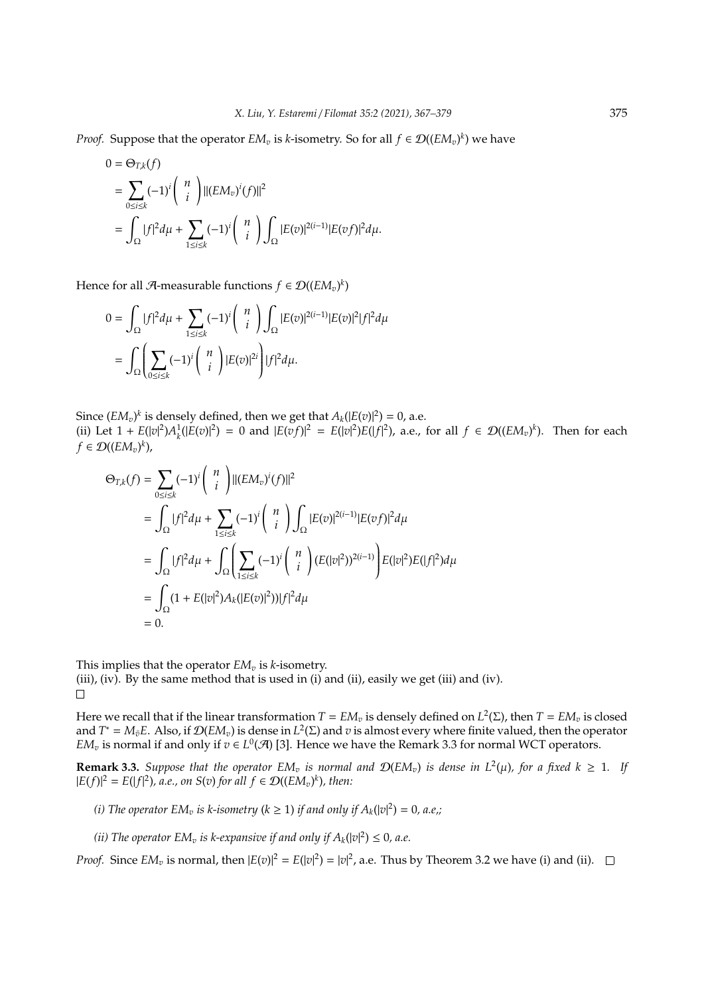*Proof.* Suppose that the operator  $EM_v$  is *k*-isometry. So for all  $f \in \mathcal{D}((EM_v)^k)$  we have

$$
0 = \Theta_{T,k}(f)
$$
  
=  $\sum_{0 \le i \le k} (-1)^i {n \choose i} ||(EM_v)^i(f)||^2$   
=  $\int_{\Omega} |f|^2 d\mu + \sum_{1 \le i \le k} (-1)^i {n \choose i} \int_{\Omega} |E(v)|^{2(i-1)} |E(vf)|^2 d\mu.$ 

Hence for all  $\mathcal{A}$ -measurable functions  $f \in \mathcal{D}((EM_v)^k)$ 

$$
0 = \int_{\Omega} |f|^2 d\mu + \sum_{1 \le i \le k} (-1)^i \binom{n}{i} \int_{\Omega} |E(v)|^{2(i-1)} |E(v)|^2 |f|^2 d\mu
$$
  
= 
$$
\int_{\Omega} \left( \sum_{0 \le i \le k} (-1)^i \binom{n}{i} |E(v)|^{2i} \right) |f|^2 d\mu.
$$

Since  $(EM_v)^k$  is densely defined, then we get that  $A_k(|E(v)|^2) = 0$ , a.e. (ii) Let  $1 + E(|v|^2)A_k^1(|E(v)|^2) = 0$  and  $|E(vf)|^2 = E(|v|^2)E(|f|^2)$ , a.e., for all  $f \in \mathcal{D}((EM_v)^k)$ . Then for each  $f \in \mathcal{D}((EM_v)^k)$ ,

$$
\Theta_{T,k}(f) = \sum_{0 \le i \le k} (-1)^i \binom{n}{i} ||(EM_v)^i(f)||^2
$$
  
\n
$$
= \int_{\Omega} |f|^2 d\mu + \sum_{1 \le i \le k} (-1)^i \binom{n}{i} \int_{\Omega} |E(v)|^{2(i-1)} |E(vf)|^2 d\mu
$$
  
\n
$$
= \int_{\Omega} |f|^2 d\mu + \int_{\Omega} \left( \sum_{1 \le i \le k} (-1)^i \binom{n}{i} (E(|v|^2))^{2(i-1)} \right) E(|v|^2) E(|f|^2) d\mu
$$
  
\n
$$
= \int_{\Omega} (1 + E(|v|^2) A_k(|E(v)|^2)) |f|^2 d\mu
$$
  
\n
$$
= 0.
$$

This implies that the operator  $EM_v$  is *k*-isometry. (iii), (iv). By the same method that is used in (i) and (ii), easily we get (iii) and (iv).  $\Box$ 

Here we recall that if the linear transformation  $T = EM_v$  is densely defined on  $L^2(\Sigma)$ , then  $T = EM_v$  is closed and  $T^* = M_{\bar{v}}E$ . Also, if  $\mathcal{D}(EM_v)$  is dense in  $L^2(\Sigma)$  and  $v$  is almost every where finite valued, then the operator *EM*<sub>*v*</sub> is normal if and only if  $v \in L^0(\mathcal{A})$  [3]. Hence we have the Remark 3.3 for normal WCT operators.

**Remark 3.3.** Suppose that the operator  $EM_v$  is normal and  $\mathcal{D}(EM_v)$  is dense in  $L^2(\mu)$ , for a fixed  $k \geq 1$ . If  $|E(f)|^2 = E(|f|^2)$ , *a.e.*, on *S*(*v*) *for all f* ∈ *D*((*EM<sub><i>v*</sub>)<sup>*k*</sup>), *then*:

*(i)* The operator  $EM_v$  *is k-isometry* ( $k \ge 1$ ) *if and only if*  $A_k(|v|^2) = 0$ , *a.e.*;

*(ii)* The operator  $EM_v$  *is k-expansive if and only if*  $A_k(|v|^2) \leq 0$ *, a.e.* 

*Proof.* Since  $EM_v$  is normal, then  $|E(v)|^2 = E(|v|^2) = |v|^2$ , a.e. Thus by Theorem 3.2 we have (i) and (ii).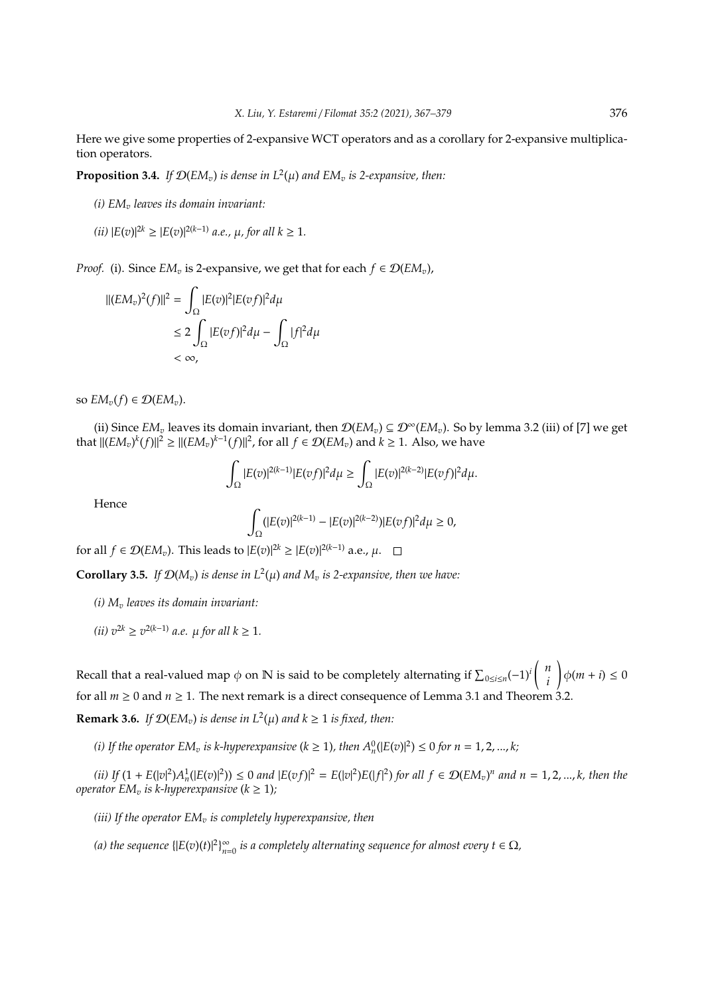Here we give some properties of 2-expansive WCT operators and as a corollary for 2-expansive multiplication operators.

**Proposition 3.4.** If  $\mathcal{D}(EM_v)$  is dense in  $L^2(\mu)$  and  $EM_v$  is 2-expansive, then:

*(i) EM<sup>v</sup> leaves its domain invariant:*

(*ii*) 
$$
|E(v)|^{2k} \ge |E(v)|^{2(k-1)}
$$
 *a.e.*,  $\mu$ , for all  $k \ge 1$ .

*Proof.* (i). Since  $EM_v$  is 2-expansive, we get that for each  $f \in \mathcal{D}(EM_v)$ ,

$$
||(EM_v)^2(f)||^2 = \int_{\Omega} |E(v)|^2 |E(vf)|^2 d\mu
$$
  
\n
$$
\leq 2 \int_{\Omega} |E(vf)|^2 d\mu - \int_{\Omega} |f|^2 d\mu
$$
  
\n
$$
< \infty,
$$

so  $EM_v(f) \in \mathcal{D}(EM_v)$ .

(ii) Since *EM*<sub>*v*</sub> leaves its domain invariant, then  $\mathcal{D}(EM_v) \subseteq \mathcal{D}^{\infty}(EM_v)$ . So by lemma 3.2 (iii) of [7] we get that  $||(EM_v)^k(f)||^2 \ge ||(EM_v)^{k-1}(f)||^2$ , for all  $f \in \mathcal{D}(EM_v)$  and  $k \ge 1$ . Also, we have

$$
\int_{\Omega} |E(v)|^{2(k-1)} |E(vf)|^2 d\mu \geq \int_{\Omega} |E(v)|^{2(k-2)} |E(vf)|^2 d\mu.
$$

Hence

$$
\int_{\Omega} (|E(v)|^{2(k-1)} - |E(v)|^{2(k-2)}) |E(vf)|^2 d\mu \geq 0,
$$

for all *f* ∈  $\mathcal{D}(EM_v)$ . This leads to  $|E(v)|^{2k} \geq |E(v)|^{2(k-1)}$  a.e.,  $\mu$ .

**Corollary 3.5.** If  $\mathcal{D}(M_v)$  is dense in  $L^2(\mu)$  and  $M_v$  is 2-expansive, then we have:

- *(i) M<sup>v</sup> leaves its domain invariant:*
- $(iii)$   $v^{2k}$  ≥  $v^{2(k-1)}$  *a.e.*  $\mu$  *for all*  $k ≥ 1$ *.*

Recall that a real-valued map  $\phi$  on N is said to be completely alternating if  $\sum_{0 \le i \le n} (-1)^i \binom{n}{i}$ *i*  $\bigg|\phi(m+i)\leq 0$ for all  $m \ge 0$  and  $n \ge 1$ . The next remark is a direct consequence of Lemma 3.1 and Theorem 3.2. **Remark 3.6.** *If*  $\mathcal{D}(EM_v)$  *is dense in*  $L^2(\mu)$  *and*  $k \ge 1$  *is fixed, then:* 

*(i)* If the operator  $EM_v$  is k-hyperexpansive ( $k \ge 1$ ), then  $A_n^0(|E(v)|^2) \le 0$  for  $n = 1, 2, ..., k$ ;

(ii) If  $(1 + E(|v|^2)A_n^1(|E(v)|^2)) \le 0$  and  $|E(vf)|^2 = E(|v|^2)E(|f|^2)$  for all  $f \in \mathcal{D}(EM_v)^n$  and  $n = 1, 2, ..., k$ , then the *operator*  $EM_v$  *is k-hyperexpansive* ( $k \geq 1$ );

*(iii) If the operator EM<sup>v</sup> is completely hyperexpansive, then*

*(a) the sequence*  $\{ |E(v)(t)|^2 \}_{n=1}^{\infty}$  $\sum_{n=0}^{\infty}$  is a completely alternating sequence for almost every  $t \in \Omega$ ,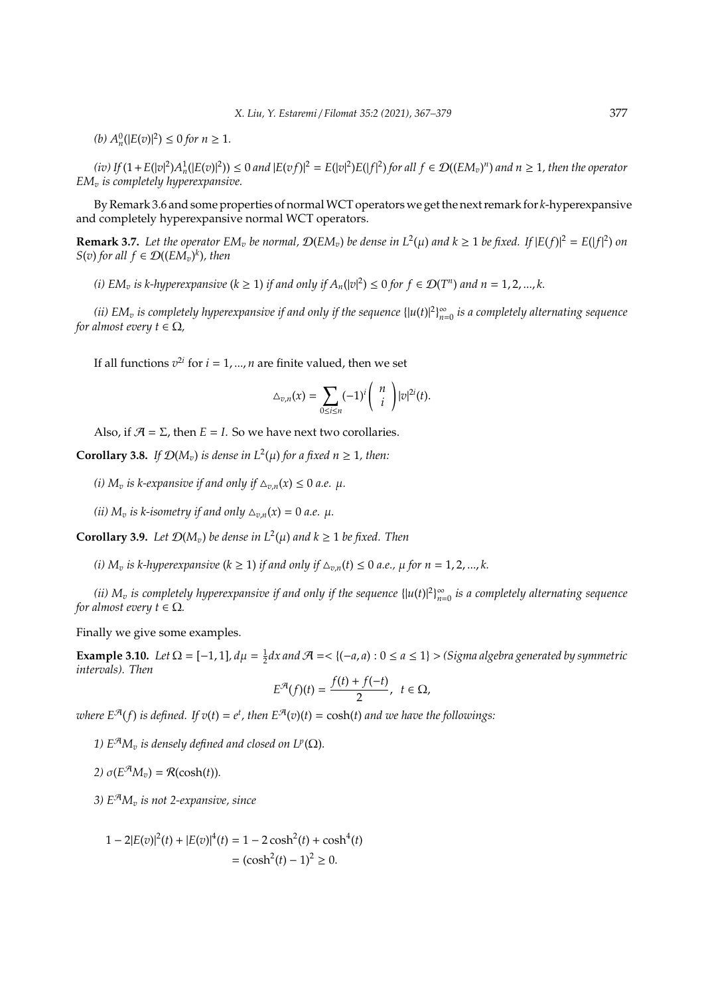$(h) A_n^0(|E(v)|^2) \le 0$  *for*  $n \ge 1$ *.* 

(iv) If  $(1+E(|v|^2)A_n^1(|E(v)|^2)) \le 0$  and  $|E(vf)|^2 = E(|v|^2)E(|f|^2)$  for all  $f \in \mathcal{D}((EM_v)^n)$  and  $n \ge 1$ , then the operator *EM<sup>v</sup> is completely hyperexpansive.*

By Remark 3.6 and some properties of normalWCT operators we get the next remark for *k*-hyperexpansive and completely hyperexpansive normal WCT operators.

**Remark 3.7.** Let the operator  $EM_v$  be normal,  $\mathcal{D}(EM_v)$  be dense in  $L^2(\mu)$  and  $k \ge 1$  be fixed. If  $|E(f)|^2 = E(|f|^2)$  on  $S(v)$  *for all*  $f \in \mathcal{D}((EM_v)^k)$ *, then* 

*(i)*  $EM_v$  *is k-hyperexpansive* ( $k \ge 1$ ) *if and only if*  $A_n(|v|^2) \le 0$  *for*  $f \in \mathcal{D}(T^n)$  *and*  $n = 1, 2, ..., k$ .

(*ii*) EM<sub>v</sub> is completely hyperexpansive if and only if the sequence  $\{|u(t)|^2\}_{n=0}^{\infty}$ *n*=0 *is a completely alternating sequence for almost every*  $t \in \Omega$ *,* 

If all functions  $v^{2i}$  for  $i = 1, ..., n$  are finite valued, then we set

$$
\Delta_{v,n}(x) = \sum_{0 \le i \le n} (-1)^i \binom{n}{i} |v|^{2i}(t).
$$

Also, if  $\mathcal{A} = \Sigma$ , then  $E = I$ . So we have next two corollaries.

**Corollary 3.8.** *If*  $\mathcal{D}(M_v)$  *is dense in*  $L^2(\mu)$  *for a fixed n*  $\geq$  1*, then:* 

*(i)*  $M_v$  *is k-expansive if and only if*  $\Delta_{v,n}(x) \leq 0$  *a.e.*  $\mu$ *.* 

*(ii)*  $M_v$  *is k-isometry if and only*  $\Delta_{v,n}(x) = 0$  *a.e.*  $\mu$ *.* 

**Corollary 3.9.** *Let*  $\mathcal{D}(M_v)$  *be dense in*  $L^2(\mu)$  *and*  $k \geq 1$  *be fixed. Then* 

*(i)*  $M_n$  *is k-hyperexpansive* ( $k \ge 1$ ) *if and only if*  $\Delta_{n,n}(t) \le 0$  *a.e.,*  $\mu$  *for*  $n = 1, 2, ..., k$ .

*(ii)*  $M_v$  *is completely hyperexpansive if and only if the sequence*  $\{|u(t)|^2\}_{n=0}^{\infty}$ *n*=0 *is a completely alternating sequence for almost every*  $t \in \Omega$ *.* 

Finally we give some examples.

**Example 3.10.** *Let*  $\Omega = [-1, 1]$ ,  $d\mu = \frac{1}{2}dx$  and  $\mathcal{A} = \{(-a, a) : 0 \le a \le 1\}$  > *(Sigma algebra generated by symmetric intervals). Then*

$$
E^{\mathcal{A}}(f)(t)=\frac{f(t)+f(-t)}{2}, t \in \Omega,
$$

 $where E^{\mathcal{A}}(f)$  *is defined.* If  $v(t) = e^t$ , then  $E^{\mathcal{A}}(v)(t) = \cosh(t)$  and we have the followings:

*1)*  $E^{\mathcal{A}}M_v$  *is densely defined and closed on*  $L^p(\Omega)$ *.* 

*2)*  $\sigma(E^{\mathcal{A}}M_v) = \mathcal{R}(\cosh(t)).$ 

*3)*  $E^{\mathcal{A}}M_v$  *is not 2-expansive, since* 

$$
1 - 2|E(v)|^{2}(t) + |E(v)|^{4}(t) = 1 - 2\cosh^{2}(t) + \cosh^{4}(t)
$$

$$
= (\cosh^{2}(t) - 1)^{2} \ge 0.
$$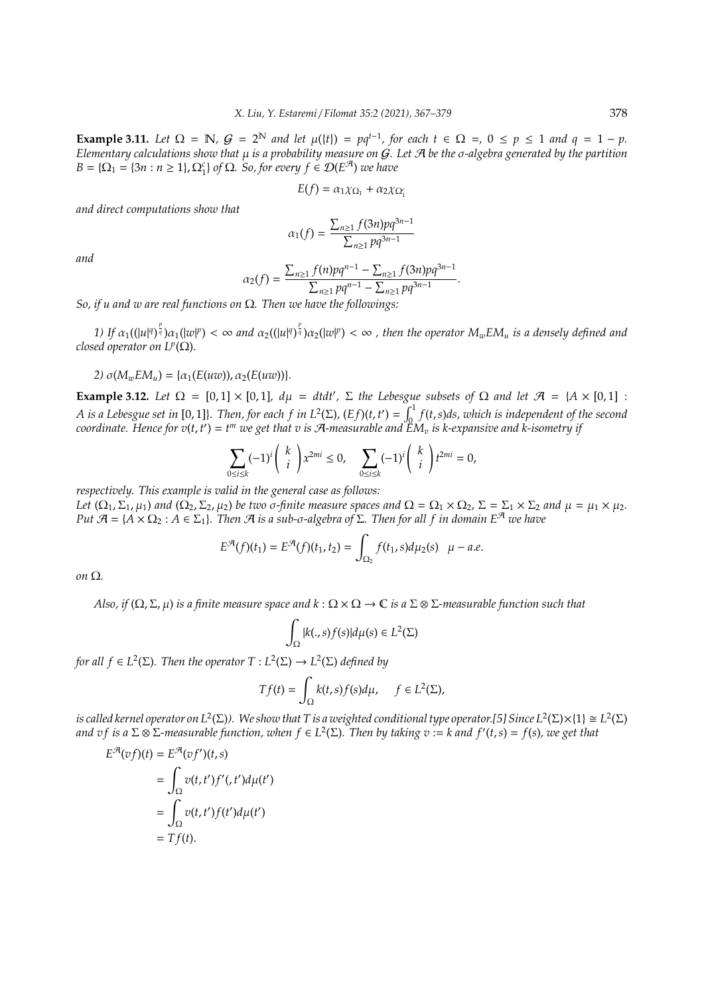**Example 3.11.** Let  $\Omega = \mathbb{N}$ ,  $G = 2^{\mathbb{N}}$  and let  $\mu({t}) = pq^{t-1}$ , for each  $t \in \Omega =$ ,  $0 \le p \le 1$  and  $q = 1 - p$ . *Elementary calculations show that* µ *is a probability measure on* G*. Let* A *be the* σ*-algebra generated by the partition*  $B = \{\Omega_1 = \{3n : n \ge 1\}, \Omega_1^c\}$  of  $\Omega$ *. So, for every f*  $\in \mathcal{D}(E^{\mathcal{A}})$  *we have* 

$$
E(f) = \alpha_1 \chi_{\Omega_1} + \alpha_2 \chi_{\Omega_1^c}
$$

*and direct computations show that*

$$
\alpha_1(f)=\frac{\sum_{n\geq1}f(3n)pq^{3n-1}}{\sum_{n\geq1}pq^{3n-1}}
$$

*and*

$$
\alpha_2(f) = \frac{\sum_{n\geq 1} f(n)pq^{n-1} - \sum_{n\geq 1} f(3n)pq^{3n-1}}{\sum_{n\geq 1} pq^{n-1} - \sum_{n\geq 1} pq^{3n-1}}.
$$

*So, if u and w are real functions on* Ω*. Then we have the followings:*

1) If  $\alpha_1((|u|^q)^{\frac{p}{q}})\alpha_1(|w|^p)<\infty$  and  $\alpha_2((|u|^q)^{\frac{p}{q}})\alpha_2(|w|^p)<\infty$  , then the operator  $M_wEM_u$  is a densely defined and *closed operator on*  $L^p(\Omega)$ *.* 

2)  $\sigma(M_wEM_u) = {\alpha_1(E(uw))}, \alpha_2(E(uw))}.$ 

**Example 3.12.** *Let*  $\Omega = [0,1] \times [0,1]$ ,  $d\mu = dtdt'$ ,  $\Sigma$  *the Lebesgue subsets of*  $\Omega$  *and let*  $\mathcal{A} = \{A \times [0,1] : A \neq 0\}$ *A* is a Lebesgue set in [0, 1]}. Then, for each f in  $L^2(\Sigma)$ ,  $(Ef)(t, t') = \int_0^1 f(t, s) ds$ , which is independent of the second coordinate. Hence for  $v(t,t')=t^m$  we get that  $v$  is A-measurable and  $\text{EM}_v$  is k-expansive and k-isometry if

$$
\sum_{0\leq i\leq k}(-1)^i\binom{k}{i}x^{2mi}\leq 0,\quad \sum_{0\leq i\leq k}(-1)^i\binom{k}{i}t^{2mi}=0,
$$

*respectively. This example is valid in the general case as follows:*

*Let*  $(\Omega_1, \Sigma_1, \mu_1)$  *and*  $(\Omega_2, \Sigma_2, \mu_2)$  *be two*  $\sigma$ -finite measure spaces and  $\Omega = \Omega_1 \times \Omega_2$ ,  $\Sigma = \Sigma_1 \times \Sigma_2$  and  $\mu = \mu_1 \times \mu_2$ . *Put*  $\mathcal{A} = \{A \times \Omega_2 : A \in \Sigma_1\}$ *. Then*  $\mathcal{A}$  *is a sub-σ-algebra of*  $\Sigma$ *. Then for all f in domain*  $E^{\mathcal{A}}$  *we have* 

$$
E^{\mathcal{A}}(f)(t_1) = E^{\mathcal{A}}(f)(t_1, t_2) = \int_{\Omega_2} f(t_1, s) d\mu_2(s) \quad \mu - a.e.
$$

*on* Ω*.*

*Also, if*  $(\Omega, \Sigma, \mu)$  *is a finite measure space and k* :  $\Omega \times \Omega \to \mathbb{C}$  *is a*  $\Sigma \otimes \Sigma$ *-measurable function such that* 

$$
\int_{\Omega} |k(.,s)f(s)| d\mu(s) \in L^2(\Sigma)
$$

*for all*  $f \in L^2(\Sigma)$ *. Then the operator*  $T: L^2(\Sigma) \to L^2(\Sigma)$  *defined by* 

$$
Tf(t) = \int_{\Omega} k(t,s)f(s)d\mu, \quad f \in L^{2}(\Sigma),
$$

is called kernel operator on  $L^2(\Sigma)$ ). We show that T is a weighted conditional type operator.[5] Since  $L^2(\Sigma)\times\{1\}\cong L^2(\Sigma)$ *and v f is a* Σ ⊗ Σ*-measurable function, when f* ∈ *L* 2 (Σ)*. Then by taking v* := *k and f* <sup>0</sup> (*t*,*s*) = *f*(*s*)*, we get that*

$$
E^{\mathcal{A}}(vf)(t) = E^{\mathcal{A}}(vf')(t,s)
$$
  
= 
$$
\int_{\Omega} v(t,t')f'(t')d\mu(t')
$$
  
= 
$$
\int_{\Omega} v(t,t')f(t')d\mu(t')
$$
  
= 
$$
Tf(t).
$$